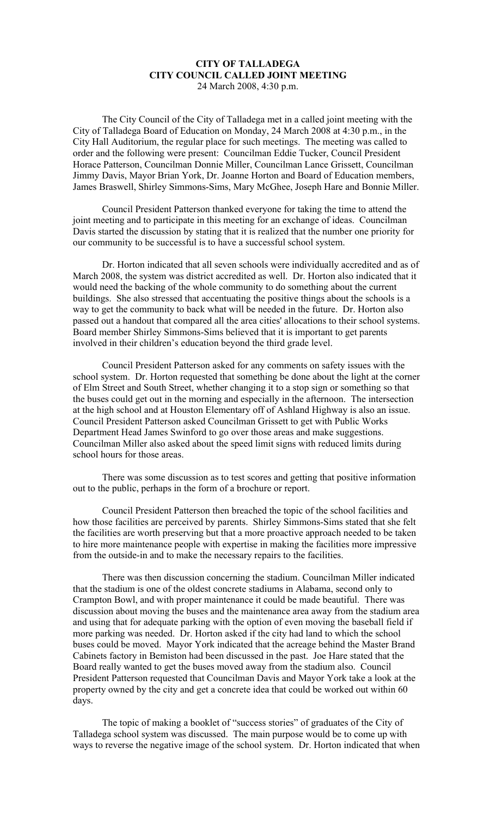## **CITY OF TALLADEGA CITY COUNCIL CALLED JOINT MEETING** 24 March 2008, 4:30 p.m.

The City Council of the City of Talladega met in a called joint meeting with the City of Talladega Board of Education on Monday, 24 March 2008 at 4:30 p.m., in the City Hall Auditorium, the regular place for such meetings. The meeting was called to order and the following were present: Councilman Eddie Tucker, Council President Horace Patterson, Councilman Donnie Miller, Councilman Lance Grissett, Councilman Jimmy Davis, Mayor Brian York, Dr. Joanne Horton and Board of Education members, James Braswell, Shirley Simmons-Sims, Mary McGhee, Joseph Hare and Bonnie Miller.

Council President Patterson thanked everyone for taking the time to attend the joint meeting and to participate in this meeting for an exchange of ideas. Councilman Davis started the discussion by stating that it is realized that the number one priority for our community to be successful is to have a successful school system.

Dr. Horton indicated that all seven schools were individually accredited and as of March 2008, the system was district accredited as well. Dr. Horton also indicated that it would need the backing of the whole community to do something about the current buildings. She also stressed that accentuating the positive things about the schools is a way to get the community to back what will be needed in the future. Dr. Horton also passed out a handout that compared all the area cities' allocations to their school systems. Board member Shirley Simmons-Sims believed that it is important to get parents involved in their children's education beyond the third grade level.

Council President Patterson asked for any comments on safety issues with the school system. Dr. Horton requested that something be done about the light at the corner of Elm Street and South Street, whether changing it to a stop sign or something so that the buses could get out in the morning and especially in the afternoon. The intersection at the high school and at Houston Elementary off of Ashland Highway is also an issue. Council President Patterson asked Councilman Grissett to get with Public Works Department Head James Swinford to go over those areas and make suggestions. Councilman Miller also asked about the speed limit signs with reduced limits during school hours for those areas.

There was some discussion as to test scores and getting that positive information out to the public, perhaps in the form of a brochure or report.

Council President Patterson then breached the topic of the school facilities and how those facilities are perceived by parents. Shirley Simmons-Sims stated that she felt the facilities are worth preserving but that a more proactive approach needed to be taken to hire more maintenance people with expertise in making the facilities more impressive from the outside-in and to make the necessary repairs to the facilities.

There was then discussion concerning the stadium. Councilman Miller indicated that the stadium is one of the oldest concrete stadiums in Alabama, second only to Crampton Bowl, and with proper maintenance it could be made beautiful. There was discussion about moving the buses and the maintenance area away from the stadium area and using that for adequate parking with the option of even moving the baseball field if more parking was needed. Dr. Horton asked if the city had land to which the school buses could be moved. Mayor York indicated that the acreage behind the Master Brand Cabinets factory in Bemiston had been discussed in the past. Joe Hare stated that the Board really wanted to get the buses moved away from the stadium also. Council President Patterson requested that Councilman Davis and Mayor York take a look at the property owned by the city and get a concrete idea that could be worked out within 60 days.

The topic of making a booklet of "success stories" of graduates of the City of Talladega school system was discussed. The main purpose would be to come up with ways to reverse the negative image of the school system. Dr. Horton indicated that when